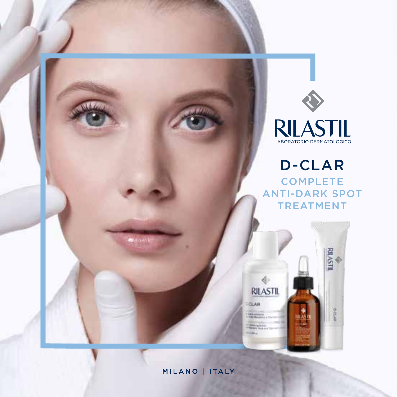

D-CLAR **COMPLETE** ANTI-DARK SPOT TREATMENT

RUSANIA  $\blacklozenge$ **RILASTIL** CLAR **Silver Address** 

MILANO | ITALY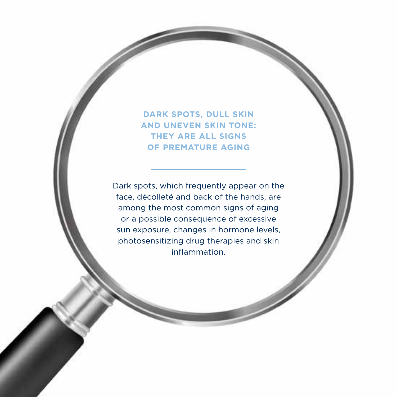**DARK SPOTS, DULL SKIN AND UNEVEN SKIN TONE: THEY ARE ALL SIGNS OF PREMATURE AGING**

Dark spots, which frequently appear on the face, décolleté and back of the hands, are among the most common signs of aging or a possible consequence of excessive sun exposure, changes in hormone levels, photosensitizing drug therapies and skin inflammation.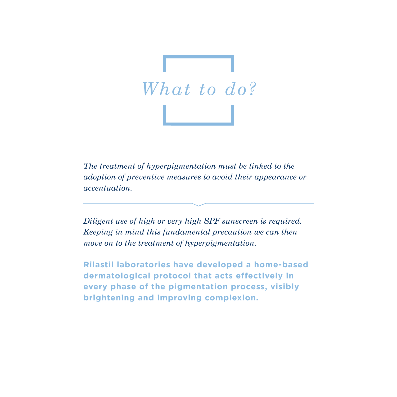

*The treatment of hyperpigmentation must be linked to the adoption of preventive measures to avoid their appearance or accentuation.*

*Diligent use of high or very high SPF sunscreen is required. Keeping in mind this fundamental precaution we can then move on to the treatment of hyperpigmentation.*

**Rilastil laboratories have developed a home-based dermatological protocol that acts effectively in every phase of the pigmentation process, visibly brightening and improving complexion.**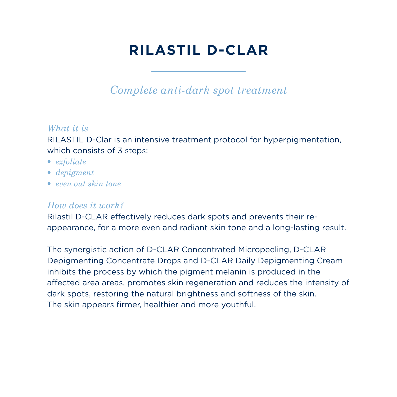# **RILASTIL D-CLAR**

### *Complete anti-dark spot treatment*

### *What it is*

RILASTIL D-Clar is an intensive treatment protocol for hyperpigmentation, which consists of 3 steps:

- • *exfoliate*
- • *depigment*
- • *even out skin tone*

### *How does it work?*

Rilastil D-CLAR effectively reduces dark spots and prevents their reappearance, for a more even and radiant skin tone and a long-lasting result.

The synergistic action of D-CLAR Concentrated Micropeeling, D-CLAR Depigmenting Concentrate Drops and D-CLAR Daily Depigmenting Cream inhibits the process by which the pigment melanin is produced in the affected area areas, promotes skin regeneration and reduces the intensity of dark spots, restoring the natural brightness and softness of the skin. The skin appears firmer, healthier and more youthful.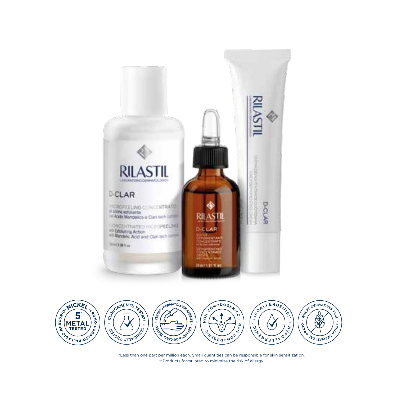



\*Less than one part per million each. Small quantities can be responsible for skin sensitization. \*\*Products formulated to minimize the risk of allergy.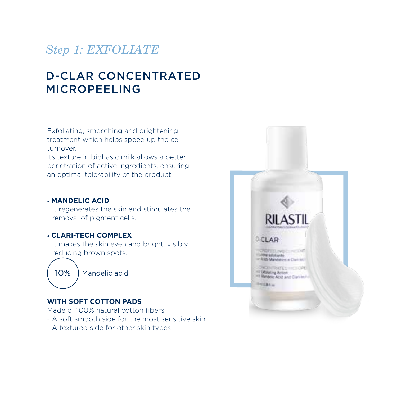## *Step 1: EXFOLIATE*

### D-CLAR CONCENTRATED MICROPEELING

Exfoliating, smoothing and brightening treatment which helps speed up the cell turnover.

Its texture in biphasic milk allows a better penetration of active ingredients, ensuring an optimal tolerability of the product.

#### • **MANDELIC ACID**

It regenerates the skin and stimulates the removal of pigment cells.

### • **CLARI-TECH COMPLEX**

It makes the skin even and bright, visibly reducing brown spots.

10% Mandelic acid

#### **WITH SOFT COTTON PADS**

Made of 100% natural cotton fibers.

- A soft smooth side for the most sensitive skin
- A textured side for other skin types

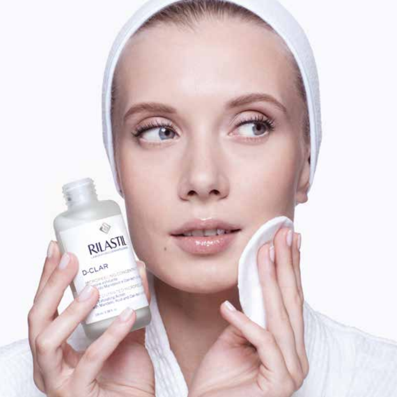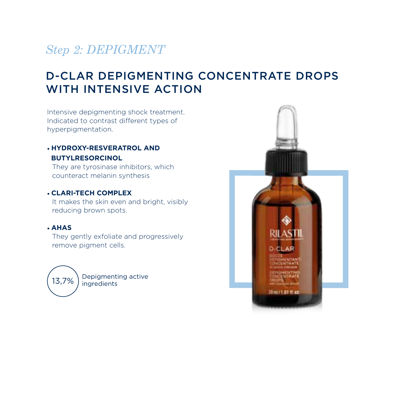# *Step 2: DEPIGMENT*

### D-CLAR DEPIGMENTING CONCENTRATE DROPS WITH INTENSIVE ACTION

Intensive depigmenting shock treatment. Indicated to contrast different types of hyperpigmentation.

### • **HYDROXY-RESVERATROL AND BUTYLRESORCINOL**

They are tyrosinase inhibitors, which counteract melanin synthesis

#### • **CLARI-TECH COMPLEX**

It makes the skin even and bright, visibly reducing brown spots.

#### • **AHAS**

They gently exfoliate and progressively remove pigment cells.



13,7% Depigmenting active ingredients

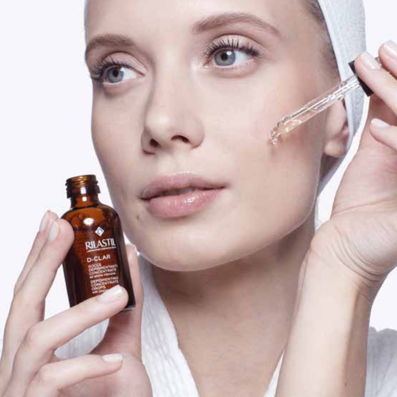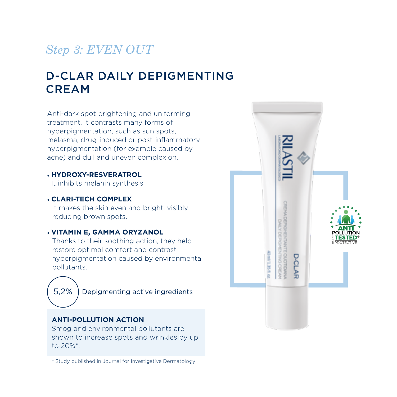# *Step 3: EVEN OUT*

### D-CLAR DAILY DEPIGMENTING CREAM

Anti-dark spot brightening and uniforming treatment. It contrasts many forms of hyperpigmentation, such as sun spots. melasma, drug-induced or post-inflammatory hyperpigmentation (for example caused by acne) and dull and uneven complexion.

#### • **HYDROXY-RESVERATROL**

It inhibits melanin synthesis.

#### • **CLARI-TECH COMPLEX**

It makes the skin even and bright, visibly reducing brown spots.

### • **VITAMIN E, GAMMA ORYZANOL**

Thanks to their soothing action, they help restore optimal comfort and contrast hyperpigmentation caused by environmental pollutants.

5,2% Depigmenting active ingredients

### **ANTI-POLLUTION ACTION**

Smog and environmental pollutants are shown to increase spots and wrinkles by up to 20%\*.

\* Study published in Journal for Investigative Dermatology

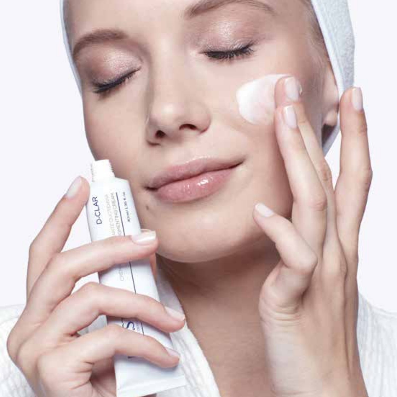